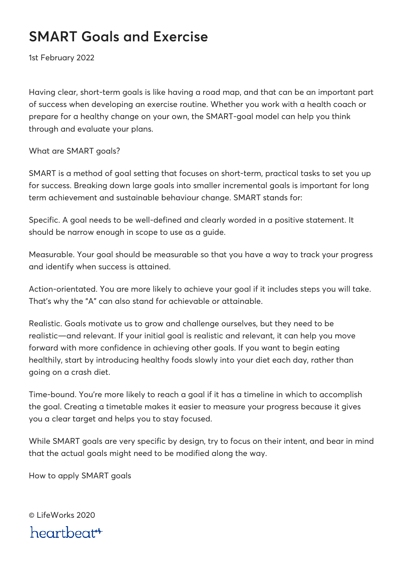## **SMART Goals and Exercise**

1st February 2022

Having clear, short-term goals is like having a road map, and that can be an important part of success when developing an exercise routine. Whether you work with a health coach or prepare for a healthy change on your own, the SMART-goal model can help you think through and evaluate your plans.

What are SMART goals?

SMART is a method of goal setting that focuses on short-term, practical tasks to set you up for success. Breaking down large goals into smaller incremental goals is important for long term achievement and sustainable behaviour change. SMART stands for:

Specific. A goal needs to be well-defined and clearly worded in a positive statement. It should be narrow enough in scope to use as a guide.

Measurable. Your goal should be measurable so that you have a way to track your progress and identify when success is attained.

Action-orientated. You are more likely to achieve your goal if it includes steps you will take. That's why the "A" can also stand for achievable or attainable.

Realistic. Goals motivate us to grow and challenge ourselves, but they need to be realistic—and relevant. If your initial goal is realistic and relevant, it can help you move forward with more confidence in achieving other goals. If you want to begin eating healthily, start by introducing healthy foods slowly into your diet each day, rather than going on a crash diet.

Time-bound. You're more likely to reach a goal if it has a timeline in which to accomplish the goal. Creating a timetable makes it easier to measure your progress because it gives you a clear target and helps you to stay focused.

While SMART goals are very specific by design, try to focus on their intent, and bear in mind that the actual goals might need to be modified along the way.

How to apply SMART goals

© LifeWorks 2020 heartbeat<sup>\*\*</sup>